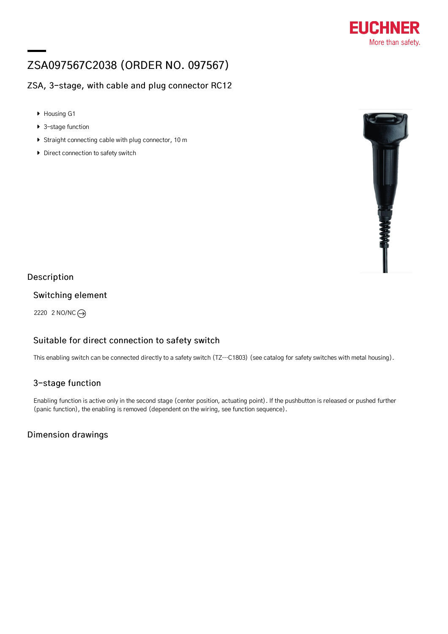

# ZSA097567C2038 (ORDER NO. 097567)

## ZSA, 3-stage, with cable and plug connector RC12

- Housing G1
- ▶ 3-stage function
- Straight connecting cable with plug connector, 10 m
- Direct connection to safety switch



#### Description

#### Switching element

2220 2 NO/NC

## Suitable for direct connection to safety switch

This enabling switch can be connected directly to a safety switch (TZ…C1803) (see catalog for safety switches with metal housing).

## 3-stage function

Enabling function is active only in the second stage (center position, actuating point). If the pushbutton is released or pushed further (panic function), the enabling is removed (dependent on the wiring, see function sequence).

## Dimension drawings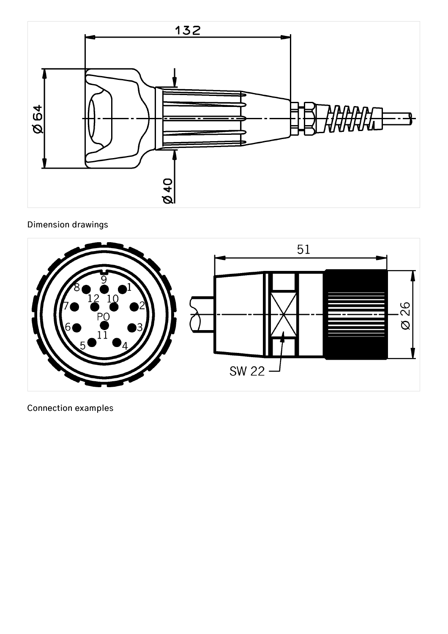

# Dimension drawings



Connection examples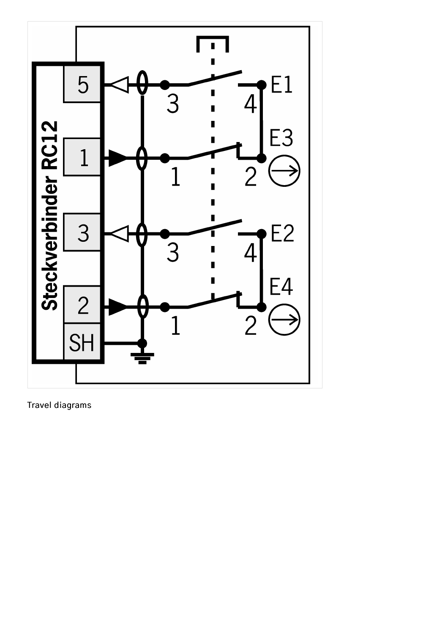

Travel diagrams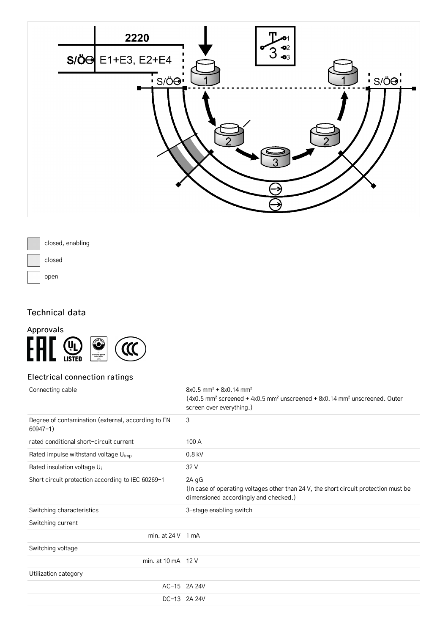



## Technical data



## Electrical connection ratings

| Connecting cable                                                   | $8x0.5$ mm <sup>2</sup> + $8x0.14$ mm <sup>2</sup><br>$(4x0.5$ mm <sup>2</sup> screened + 4x0.5 mm <sup>2</sup> unscreened + 8x0.14 mm <sup>2</sup> unscreened. Outer<br>screen over everything.) |
|--------------------------------------------------------------------|---------------------------------------------------------------------------------------------------------------------------------------------------------------------------------------------------|
| Degree of contamination (external, according to EN<br>$60947 - 1)$ | 3                                                                                                                                                                                                 |
| rated conditional short-circuit current                            | 100A                                                                                                                                                                                              |
| Rated impulse withstand voltage U <sub>imp</sub>                   | $0.8$ kV                                                                                                                                                                                          |
| Rated insulation voltage U <sub>i</sub>                            | 32 V                                                                                                                                                                                              |
| Short circuit protection according to IEC 60269-1                  | 2A gG<br>(In case of operating voltages other than 24 V, the short circuit protection must be<br>dimensioned accordingly and checked.)                                                            |
| Switching characteristics                                          | 3-stage enabling switch                                                                                                                                                                           |
| Switching current                                                  |                                                                                                                                                                                                   |
| min. at $24V$ 1 mA                                                 |                                                                                                                                                                                                   |
| Switching voltage                                                  |                                                                                                                                                                                                   |
| min. at 10 mA 12 V                                                 |                                                                                                                                                                                                   |
| Utilization category                                               |                                                                                                                                                                                                   |
|                                                                    | AC-15 2A 24V                                                                                                                                                                                      |
|                                                                    | DC-13 2A 24V                                                                                                                                                                                      |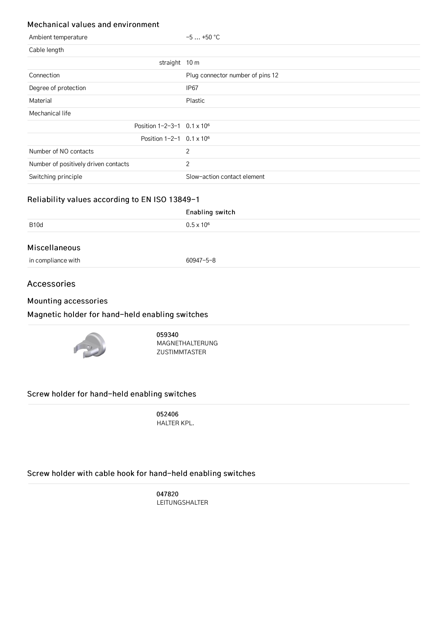#### Mechanical values and environment

| Ambient temperature                            | $-5+50$ °C                       |
|------------------------------------------------|----------------------------------|
| Cable length                                   |                                  |
| straight 10 m                                  |                                  |
| Connection                                     | Plug connector number of pins 12 |
| Degree of protection                           | IP <sub>67</sub>                 |
| Material                                       | Plastic                          |
| Mechanical life                                |                                  |
| Position $1 - 2 - 3 - 1$ 0.1 x 10 <sup>6</sup> |                                  |
| Position $1-2-1$ 0.1 x $106$                   |                                  |
| Number of NO contacts                          | 2                                |
| Number of positively driven contacts           | 2                                |
| Switching principle                            | Slow-action contact element      |

## Reliability values according to EN ISO 13849-1

|                    | Enabling switch     |  |  |
|--------------------|---------------------|--|--|
| B <sub>10</sub> d  | $0.5 \times 10^{6}$ |  |  |
| Miscellaneous      |                     |  |  |
| in compliance with | 60947-5-8           |  |  |

#### Accessories

#### Mounting [accessories](#page-4-0)

#### <span id="page-4-1"></span><span id="page-4-0"></span>Magnetic holder for [hand-held](#page-4-1) enabling switches



059340 [MAGNETHALTERUNG](http://www.euchner.de/en-us/a/059340/) ZUSTIMMTASTER

#### <span id="page-4-2"></span>Screw holder for [hand-held](#page-4-2) enabling switches

052406 [HALTER](http://www.euchner.de/en-us/a/052406/) KPL.

## <span id="page-4-3"></span>Screw holder with cable hook for [hand-held](#page-4-3) enabling switches

047820 [LEITUNGSHALTER](http://www.euchner.de/en-us/a/047820/)